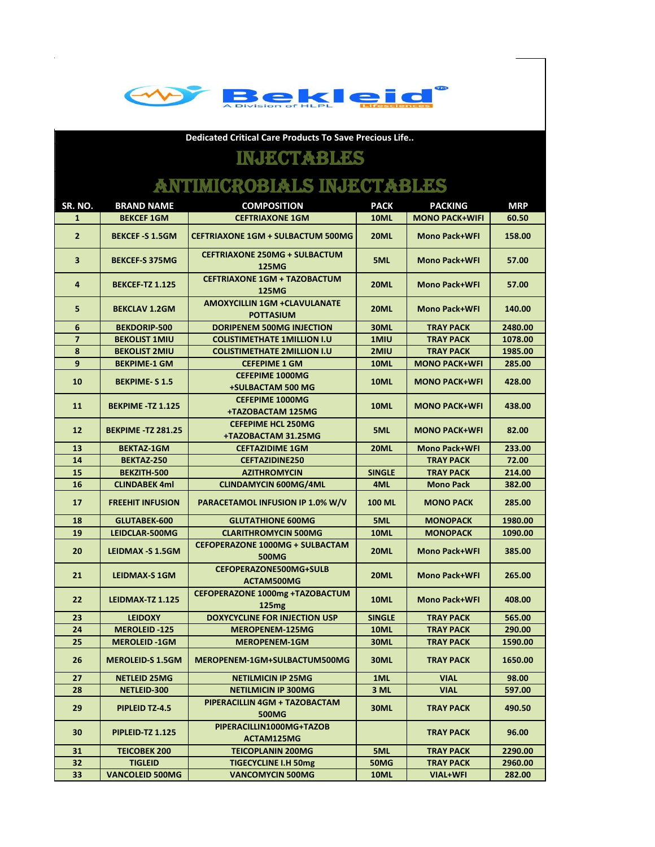

**Dedicated Critical Care Products To Save Precious Life..**

## INJECTABLES

ANTIMICROBIALS INJECTABLES

| SR. NO.                 | <b>BRAND NAME</b>         | <b>COMPOSITION</b>                                      | <b>PACK</b>   | <b>PACKING</b>        | <b>MRP</b> |
|-------------------------|---------------------------|---------------------------------------------------------|---------------|-----------------------|------------|
| 1                       | <b>BEKCEF 1GM</b>         | <b>CEFTRIAXONE 1GM</b>                                  | <b>10ML</b>   | <b>MONO PACK+WIFI</b> | 60.50      |
| $\overline{2}$          | <b>BEKCEF -S 1.5GM</b>    | <b>CEFTRIAXONE 1GM + SULBACTUM 500MG</b>                | <b>20ML</b>   | <b>Mono Pack+WFI</b>  | 158.00     |
| 3                       | <b>BEKCEF-S 375MG</b>     | <b>CEFTRIAXONE 250MG + SULBACTUM</b><br><b>125MG</b>    | 5ML           | <b>Mono Pack+WFI</b>  | 57.00      |
| 4                       | <b>BEKCEF-TZ 1.125</b>    | <b>CEFTRIAXONE 1GM + TAZOBACTUM</b><br><b>125MG</b>     | <b>20ML</b>   | <b>Mono Pack+WFI</b>  | 57.00      |
| 5                       | <b>BEKCLAV 1.2GM</b>      | <b>AMOXYCILLIN 1GM +CLAVULANATE</b><br><b>POTTASIUM</b> | <b>20ML</b>   | <b>Mono Pack+WFI</b>  | 140.00     |
| 6                       | <b>BEKDORIP-500</b>       | <b>DORIPENEM 500MG INJECTION</b>                        | <b>30ML</b>   | <b>TRAY PACK</b>      | 2480.00    |
| $\overline{\mathbf{z}}$ | <b>BEKOLIST 1MIU</b>      | <b>COLISTIMETHATE 1MILLION I.U</b>                      | 1MIU          | <b>TRAY PACK</b>      | 1078.00    |
| 8                       | <b>BEKOLIST 2MIU</b>      | <b>COLISTIMETHATE 2MILLION I.U</b>                      | 2MIU          | <b>TRAY PACK</b>      | 1985.00    |
| $\boldsymbol{9}$        | <b>BEKPIME-1 GM</b>       | <b>CEFEPIME 1 GM</b>                                    | <b>10ML</b>   | <b>MONO PACK+WFI</b>  | 285.00     |
| 10                      | <b>BEKPIME-S1.5</b>       | <b>CEFEPIME 1000MG</b><br><b>+SULBACTAM 500 MG</b>      | <b>10ML</b>   | <b>MONO PACK+WFI</b>  | 428.00     |
| 11                      | <b>BEKPIME -TZ 1.125</b>  | <b>CEFEPIME 1000MG</b><br>+TAZOBACTAM 125MG             | <b>10ML</b>   | <b>MONO PACK+WFI</b>  | 438.00     |
| 12                      | <b>BEKPIME -TZ 281.25</b> | <b>CEFEPIME HCL 250MG</b><br>+TAZOBACTAM 31.25MG        | 5ML           | <b>MONO PACK+WFI</b>  | 82.00      |
| 13                      | <b>BEKTAZ-1GM</b>         | <b>CEFTAZIDIME 1GM</b>                                  | <b>20ML</b>   | <b>Mono Pack+WFI</b>  | 233.00     |
| 14                      | BEKTAZ-250                | <b>CEFTAZIDINE250</b>                                   |               | <b>TRAY PACK</b>      | 72.00      |
| 15                      | <b>BEKZITH-500</b>        | <b>AZITHROMYCIN</b>                                     | <b>SINGLE</b> | <b>TRAY PACK</b>      | 214.00     |
| 16                      | <b>CLINDABEK 4ml</b>      | <b>CLINDAMYCIN 600MG/4ML</b>                            | 4ML           | <b>Mono Pack</b>      | 382.00     |
| 17                      | <b>FREEHIT INFUSION</b>   | PARACETAMOL INFUSION IP 1.0% W/V                        | <b>100 ML</b> | <b>MONO PACK</b>      | 285.00     |
| 18                      | GLUTABEK-600              | <b>GLUTATHIONE 600MG</b>                                | 5ML           | <b>MONOPACK</b>       | 1980.00    |
| 19                      | LEIDCLAR-500MG            | <b>CLARITHROMYCIN 500MG</b>                             | <b>10ML</b>   | <b>MONOPACK</b>       | 1090.00    |
| 20                      | LEIDMAX -S 1.5GM          | <b>CEFOPERAZONE 1000MG + SULBACTAM</b><br><b>500MG</b>  | <b>20ML</b>   | <b>Mono Pack+WFI</b>  | 385.00     |
| 21                      | <b>LEIDMAX-S 1GM</b>      | CEFOPERAZONE500MG+SULB<br>ACTAM500MG                    | <b>20ML</b>   | <b>Mono Pack+WFI</b>  | 265.00     |
| 22                      | <b>LEIDMAX-TZ 1.125</b>   | CEFOPERAZONE 1000mg +TAZOBACTUM<br>125mg                | <b>10ML</b>   | <b>Mono Pack+WFI</b>  | 408.00     |
| 23                      | <b>LEIDOXY</b>            | <b>DOXYCYCLINE FOR INJECTION USP</b>                    | <b>SINGLE</b> | <b>TRAY PACK</b>      | 565.00     |
| 24                      | <b>MEROLEID -125</b>      | <b>MEROPENEM-125MG</b>                                  | <b>10ML</b>   | <b>TRAY PACK</b>      | 290.00     |
| 25                      | <b>MEROLEID -1GM</b>      | <b>MEROPENEM-1GM</b>                                    | <b>30ML</b>   | <b>TRAY PACK</b>      | 1590.00    |
| 26                      | <b>MEROLEID-S 1.5GM</b>   | MEROPENEM-1GM+SULBACTUM500MG                            | <b>30ML</b>   | <b>TRAY PACK</b>      | 1650.00    |
| 27                      | <b>NETLEID 25MG</b>       | <b>NETILMICIN IP 25MG</b>                               | 1ML           | <b>VIAL</b>           | 98.00      |
| 28                      | NETLEID-300               | <b>NETILMICIN IP 300MG</b>                              | 3 ML          | <b>VIAL</b>           | 597.00     |
| 29                      | PIPLEID TZ-4.5            | PIPERACILLIN 4GM + TAZOBACTAM<br>500MG                  | <b>30ML</b>   | <b>TRAY PACK</b>      | 490.50     |
| 30                      | <b>PIPLEID-TZ 1.125</b>   | PIPERACILLIN1000MG+TAZOB<br>ACTAM125MG                  |               | <b>TRAY PACK</b>      | 96.00      |
| 31                      | <b>TEICOBEK 200</b>       | <b>TEICOPLANIN 200MG</b>                                | 5ML           | <b>TRAY PACK</b>      | 2290.00    |
| 32                      | <b>TIGLEID</b>            | <b>TIGECYCLINE I.H 50mg</b>                             | 50MG          | <b>TRAY PACK</b>      | 2960.00    |
| 33                      | <b>VANCOLEID 500MG</b>    | <b>VANCOMYCIN 500MG</b>                                 | <b>10ML</b>   | <b>VIAL+WFI</b>       | 282.00     |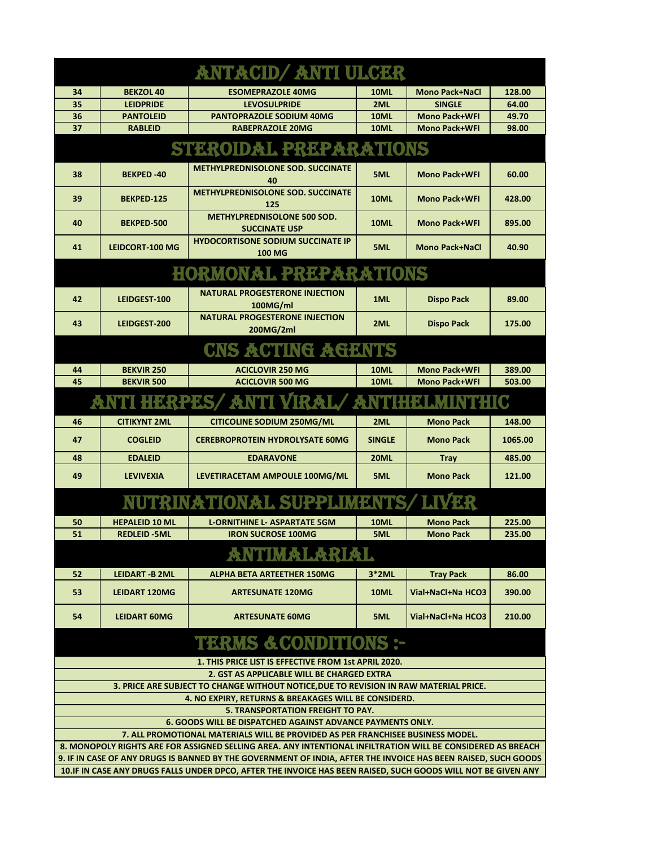|                                                                                                                |                       | <b>ANTACID/ ANTI ULCER</b>                                 |               |                       |         |  |  |  |
|----------------------------------------------------------------------------------------------------------------|-----------------------|------------------------------------------------------------|---------------|-----------------------|---------|--|--|--|
| 34                                                                                                             | <b>BEKZOL 40</b>      | <b>ESOMEPRAZOLE 40MG</b>                                   | 10ML          | <b>Mono Pack+NaCl</b> | 128.00  |  |  |  |
| 35                                                                                                             | <b>LEIDPRIDE</b>      | <b>LEVOSULPRIDE</b>                                        | 2ML           | <b>SINGLE</b>         | 64.00   |  |  |  |
| 36                                                                                                             | <b>PANTOLEID</b>      | <b>PANTOPRAZOLE SODIUM 40MG</b>                            | <b>10ML</b>   | <b>Mono Pack+WFI</b>  | 49.70   |  |  |  |
| 37                                                                                                             | <b>RABLEID</b>        | <b>RABEPRAZOLE 20MG</b>                                    | 10ML          | <b>Mono Pack+WFI</b>  | 98.00   |  |  |  |
| <b>STEROIDAL PREPARATIONS</b>                                                                                  |                       |                                                            |               |                       |         |  |  |  |
| 38                                                                                                             | <b>BEKPED-40</b>      | <b>METHYLPREDNISOLONE SOD, SUCCINATE</b><br>40             | 5ML           | <b>Mono Pack+WFI</b>  | 60.00   |  |  |  |
| 39                                                                                                             | BEKPED-125            | <b>METHYLPREDNISOLONE SOD. SUCCINATE</b><br>125            | <b>10ML</b>   | <b>Mono Pack+WFI</b>  | 428.00  |  |  |  |
| 40                                                                                                             | BEKPED-500            | <b>METHYLPREDNISOLONE 500 SOD.</b><br><b>SUCCINATE USP</b> | <b>10ML</b>   | <b>Mono Pack+WFI</b>  | 895.00  |  |  |  |
| 41                                                                                                             | LEIDCORT-100 MG       | <b>HYDOCORTISONE SODIUM SUCCINATE IP</b><br><b>100 MG</b>  | 5ML           | <b>Mono Pack+NaCl</b> | 40.90   |  |  |  |
| <b>HORMONAL PREPARATIONS</b>                                                                                   |                       |                                                            |               |                       |         |  |  |  |
| 42                                                                                                             | LEIDGEST-100          | <b>NATURAL PROGESTERONE INJECTION</b><br>100MG/ml          | 1ML           | <b>Dispo Pack</b>     | 89.00   |  |  |  |
| 43                                                                                                             | LEIDGEST-200          | <b>NATURAL PROGESTERONE INJECTION</b><br>200MG/2ml         | 2ML           | <b>Dispo Pack</b>     | 175.00  |  |  |  |
|                                                                                                                |                       | CNS ACTING AGENTS                                          |               |                       |         |  |  |  |
| 44                                                                                                             | <b>BEKVIR 250</b>     | <b>ACICLOVIR 250 MG</b>                                    | <b>10ML</b>   | <b>Mono Pack+WFI</b>  | 389.00  |  |  |  |
| 45                                                                                                             | <b>BEKVIR 500</b>     | <b>ACICLOVIR 500 MG</b>                                    | 10ML          | <b>Mono Pack+WFI</b>  | 503.00  |  |  |  |
| <b>ANTIBHARPAS/ ANTI</b><br><b>MRZAWZANINHEIRANNEHO</b>                                                        |                       |                                                            |               |                       |         |  |  |  |
| 46                                                                                                             | <b>CITIKYNT 2ML</b>   | <b>CITICOLINE SODIUM 250MG/ML</b>                          | 2ML           | <b>Mono Pack</b>      | 148.00  |  |  |  |
| 47                                                                                                             | <b>COGLEID</b>        | <b>CEREBROPROTEIN HYDROLYSATE 60MG</b>                     | <b>SINGLE</b> | <b>Mono Pack</b>      | 1065.00 |  |  |  |
| 48                                                                                                             | <b>EDALEID</b>        | <b>EDARAVONE</b>                                           | <b>20ML</b>   | <b>Tray</b>           | 485.00  |  |  |  |
| 49                                                                                                             | <b>LEVIVEXIA</b>      | LEVETIRACETAM AMPOULE 100MG/ML                             | 5ML           | <b>Mono Pack</b>      | 121.00  |  |  |  |
|                                                                                                                |                       | <b>NUTRINATIONAL SUPPLIMENTS/</b>                          |               |                       |         |  |  |  |
| 50                                                                                                             | <b>HEPALEID 10 ML</b> | <b>L-ORNITHINE L- ASPARTATE 5GM</b>                        | <b>10ML</b>   | <b>Mono Pack</b>      | 225.00  |  |  |  |
| 51                                                                                                             | <b>REDLEID - 5ML</b>  | <b>IRON SUCROSE 100MG</b>                                  | 5ML           | <b>Mono Pack</b>      | 235.00  |  |  |  |
|                                                                                                                |                       | ANITIA ATRAPART                                            |               |                       |         |  |  |  |
| 52                                                                                                             | <b>LEIDART-B 2ML</b>  | <b>ALPHA BETA ARTEETHER 150MG</b>                          | 3*2ML         | <b>Tray Pack</b>      | 86.00   |  |  |  |
| 53                                                                                                             | LEIDART 120MG         | <b>ARTESUNATE 120MG</b>                                    | <b>10ML</b>   | Vial+NaCl+Na HCO3     | 390.00  |  |  |  |
| 54                                                                                                             | <b>LEIDART 60MG</b>   | <b>ARTESUNATE 60MG</b>                                     | 5ML           | Vial+NaCl+Na HCO3     | 210.00  |  |  |  |
| <b>TERMS &amp;CONDITIONS :-</b>                                                                                |                       |                                                            |               |                       |         |  |  |  |
|                                                                                                                |                       | 1. THIS PRICE LIST IS EFFECTIVE FROM 1st APRIL 2020.       |               |                       |         |  |  |  |
| 2. GST AS APPLICABLE WILL BE CHARGED EXTRA                                                                     |                       |                                                            |               |                       |         |  |  |  |
| 3. PRICE ARE SUBJECT TO CHANGE WITHOUT NOTICE, DUE TO REVISION IN RAW MATERIAL PRICE.                          |                       |                                                            |               |                       |         |  |  |  |
| 4. NO EXPIRY, RETURNS & BREAKAGES WILL BE CONSIDERD.<br><b>5. TRANSPORTATION FREIGHT TO PAY.</b>               |                       |                                                            |               |                       |         |  |  |  |
| <b>6. GOODS WILL BE DISPATCHED AGAINST ADVANCE PAYMENTS ONLY.</b>                                              |                       |                                                            |               |                       |         |  |  |  |
| 7. ALL PROMOTIONAL MATERIALS WILL BE PROVIDED AS PER FRANCHISEE BUSINESS MODEL.                                |                       |                                                            |               |                       |         |  |  |  |
| 8. MONOPOLY RIGHTS ARE FOR ASSIGNED SELLING AREA. ANY INTENTIONAL INFILTRATION WILL BE CONSIDERED AS BREACH    |                       |                                                            |               |                       |         |  |  |  |
| 9. IF IN CASE OF ANY DRUGS IS BANNED BY THE GOVERNMENT OF INDIA, AFTER THE INVOICE HAS BEEN RAISED, SUCH GOODS |                       |                                                            |               |                       |         |  |  |  |
| 10.IF IN CASE ANY DRUGS FALLS UNDER DPCO, AFTER THE INVOICE HAS BEEN RAISED, SUCH GOODS WILL NOT BE GIVEN ANY  |                       |                                                            |               |                       |         |  |  |  |